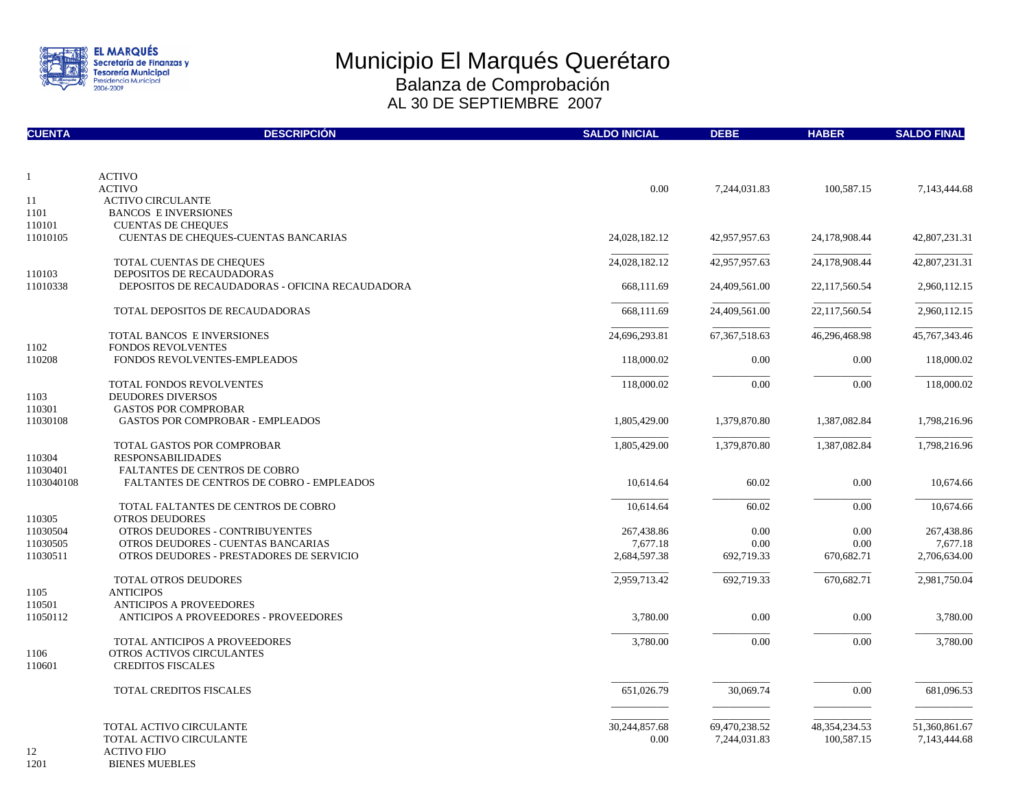

| <b>CUENTA</b> | <b>DESCRIPCIÓN</b>                              | <b>SALDO INICIAL</b> | <b>DEBE</b>      | <b>HABER</b>     | <b>SALDO FINAL</b> |
|---------------|-------------------------------------------------|----------------------|------------------|------------------|--------------------|
|               |                                                 |                      |                  |                  |                    |
| 1             | <b>ACTIVO</b><br><b>ACTIVO</b>                  | 0.00                 | 7,244,031.83     | 100,587.15       | 7,143,444.68       |
| 11            | <b>ACTIVO CIRCULANTE</b>                        |                      |                  |                  |                    |
| 1101          | <b>BANCOS E INVERSIONES</b>                     |                      |                  |                  |                    |
| 110101        | <b>CUENTAS DE CHEQUES</b>                       |                      |                  |                  |                    |
| 11010105      | CUENTAS DE CHEQUES-CUENTAS BANCARIAS            | 24,028,182.12        | 42,957,957.63    | 24,178,908.44    | 42,807,231.31      |
|               | TOTAL CUENTAS DE CHEQUES                        | 24,028,182.12        | 42,957,957.63    | 24,178,908.44    | 42,807,231.31      |
| 110103        | DEPOSITOS DE RECAUDADORAS                       |                      |                  |                  |                    |
| 11010338      | DEPOSITOS DE RECAUDADORAS - OFICINA RECAUDADORA | 668,111.69           | 24,409,561.00    | 22,117,560.54    | 2,960,112.15       |
|               | TOTAL DEPOSITOS DE RECAUDADORAS                 | 668,111.69           | 24,409,561.00    | 22,117,560.54    | 2,960,112.15       |
|               |                                                 |                      |                  |                  |                    |
|               | TOTAL BANCOS E INVERSIONES                      | 24,696,293.81        | 67, 367, 518. 63 | 46,296,468.98    | 45,767,343.46      |
| 1102          | <b>FONDOS REVOLVENTES</b>                       |                      |                  |                  |                    |
| 110208        | FONDOS REVOLVENTES-EMPLEADOS                    | 118,000.02           | 0.00             | 0.00             | 118,000.02         |
|               | TOTAL FONDOS REVOLVENTES                        | 118,000.02           | 0.00             | 0.00             | 118,000.02         |
| 1103          | <b>DEUDORES DIVERSOS</b>                        |                      |                  |                  |                    |
| 110301        | <b>GASTOS POR COMPROBAR</b>                     |                      |                  |                  |                    |
| 11030108      | <b>GASTOS POR COMPROBAR - EMPLEADOS</b>         | 1,805,429.00         | 1,379,870.80     | 1,387,082.84     | 1,798,216.96       |
|               | TOTAL GASTOS POR COMPROBAR                      | 1,805,429.00         | 1,379,870.80     | 1,387,082.84     | 1,798,216.96       |
| 110304        | <b>RESPONSABILIDADES</b>                        |                      |                  |                  |                    |
| 11030401      | <b>FALTANTES DE CENTROS DE COBRO</b>            |                      |                  |                  |                    |
| 1103040108    | FALTANTES DE CENTROS DE COBRO - EMPLEADOS       | 10,614.64            | 60.02            | 0.00             | 10,674.66          |
|               | TOTAL FALTANTES DE CENTROS DE COBRO             | 10,614.64            | 60.02            | 0.00             | 10,674.66          |
| 110305        | <b>OTROS DEUDORES</b>                           |                      |                  |                  |                    |
| 11030504      | OTROS DEUDORES - CONTRIBUYENTES                 | 267,438.86           | 0.00             | 0.00             | 267,438.86         |
| 11030505      | OTROS DEUDORES - CUENTAS BANCARIAS              | 7,677.18             | 0.00             | 0.00             | 7,677.18           |
| 11030511      | OTROS DEUDORES - PRESTADORES DE SERVICIO        | 2,684,597.38         | 692,719.33       | 670,682.71       | 2,706,634.00       |
|               | TOTAL OTROS DEUDORES                            | 2,959,713.42         | 692,719.33       | 670,682.71       | 2,981,750.04       |
| 1105          | <b>ANTICIPOS</b>                                |                      |                  |                  |                    |
| 110501        | <b>ANTICIPOS A PROVEEDORES</b>                  |                      |                  |                  |                    |
| 11050112      | ANTICIPOS A PROVEEDORES - PROVEEDORES           | 3,780.00             | 0.00             | 0.00             | 3,780.00           |
|               | <b>TOTAL ANTICIPOS A PROVEEDORES</b>            | 3,780.00             | 0.00             | 0.00             | 3,780.00           |
| 1106          | OTROS ACTIVOS CIRCULANTES                       |                      |                  |                  |                    |
| 110601        | <b>CREDITOS FISCALES</b>                        |                      |                  |                  |                    |
|               | TOTAL CREDITOS FISCALES                         | 651,026.79           | 30,069.74        | 0.00             | 681,096.53         |
|               |                                                 |                      |                  |                  |                    |
|               |                                                 |                      |                  |                  |                    |
|               | TOTAL ACTIVO CIRCULANTE                         | 30,244,857.68        | 69,470,238.52    | 48, 354, 234. 53 | 51,360,861.67      |
| 12            | TOTAL ACTIVO CIRCULANTE<br>ACTIVO FLIO          | 0.00                 | 7,244,031.83     | 100,587.15       | 7,143,444.68       |

1201 BIENES MUEBLES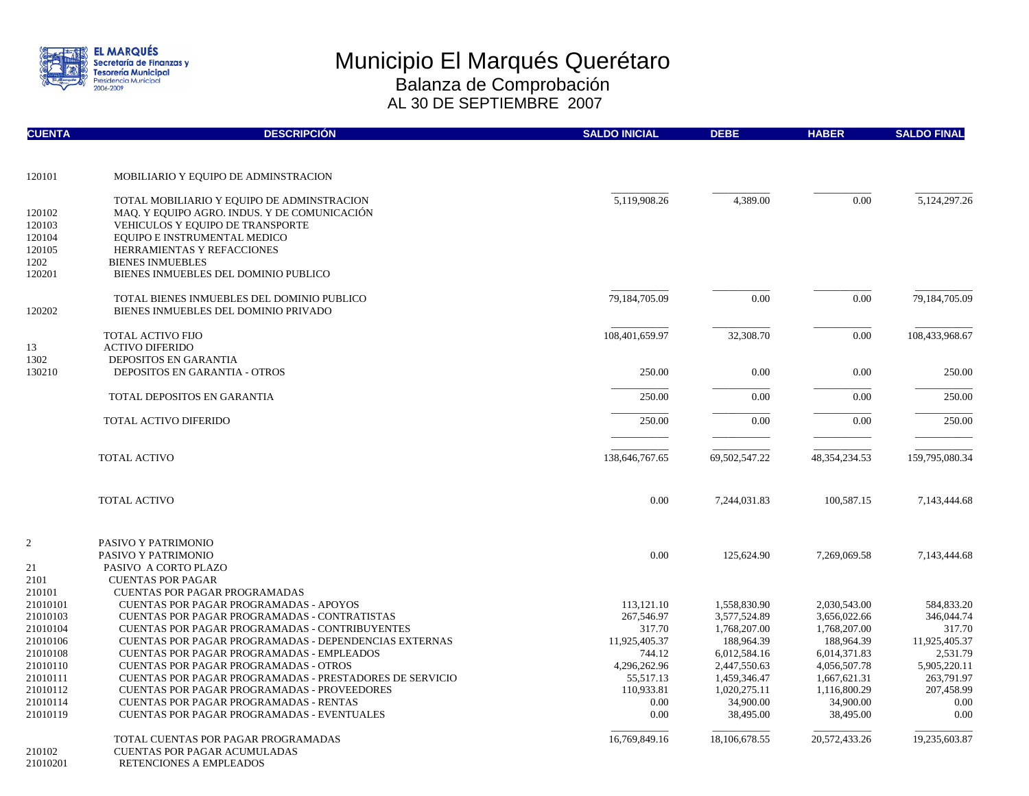

| <b>CUENTA</b>        | <b>DESCRIPCIÓN</b>                                                                                  | <b>SALDO INICIAL</b> | <b>DEBE</b>               | <b>HABER</b>              | <b>SALDO FINAL</b> |
|----------------------|-----------------------------------------------------------------------------------------------------|----------------------|---------------------------|---------------------------|--------------------|
|                      |                                                                                                     |                      |                           |                           |                    |
| 120101               | MOBILIARIO Y EQUIPO DE ADMINSTRACION                                                                |                      |                           |                           |                    |
|                      | TOTAL MOBILIARIO Y EQUIPO DE ADMINSTRACION                                                          | 5,119,908.26         | 4,389.00                  | 0.00                      | 5,124,297.26       |
| 120102               | MAQ. Y EQUIPO AGRO. INDUS. Y DE COMUNICACIÓN                                                        |                      |                           |                           |                    |
| 120103               | VEHICULOS Y EQUIPO DE TRANSPORTE                                                                    |                      |                           |                           |                    |
| 120104               | EQUIPO E INSTRUMENTAL MEDICO                                                                        |                      |                           |                           |                    |
| 120105               | HERRAMIENTAS Y REFACCIONES                                                                          |                      |                           |                           |                    |
| 1202                 | <b>BIENES INMUEBLES</b>                                                                             |                      |                           |                           |                    |
| 120201               | BIENES INMUEBLES DEL DOMINIO PUBLICO                                                                |                      |                           |                           |                    |
|                      | TOTAL BIENES INMUEBLES DEL DOMINIO PUBLICO                                                          | 79,184,705.09        | 0.00                      | 0.00                      | 79,184,705.09      |
| 120202               | BIENES INMUEBLES DEL DOMINIO PRIVADO                                                                |                      |                           |                           |                    |
|                      | TOTAL ACTIVO FIJO                                                                                   | 108,401,659.97       | 32,308.70                 | 0.00                      | 108,433,968.67     |
| 13                   | <b>ACTIVO DIFERIDO</b>                                                                              |                      |                           |                           |                    |
| 1302                 | <b>DEPOSITOS EN GARANTIA</b>                                                                        |                      |                           |                           |                    |
| 130210               | DEPOSITOS EN GARANTIA - OTROS                                                                       | 250.00               | 0.00                      | 0.00                      | 250.00             |
|                      | TOTAL DEPOSITOS EN GARANTIA                                                                         | 250.00               | 0.00                      | 0.00                      | 250.00             |
|                      | TOTAL ACTIVO DIFERIDO                                                                               | 250.00               | 0.00                      | 0.00                      | 250.00             |
|                      |                                                                                                     |                      |                           |                           |                    |
|                      | <b>TOTAL ACTIVO</b>                                                                                 | 138,646,767.65       | 69,502,547.22             | 48, 354, 234. 53          | 159,795,080.34     |
|                      | TOTAL ACTIVO                                                                                        | 0.00                 | 7,244,031.83              | 100,587.15                | 7,143,444.68       |
| $\sqrt{2}$           | PASIVO Y PATRIMONIO                                                                                 |                      |                           |                           |                    |
|                      | PASIVO Y PATRIMONIO                                                                                 | 0.00                 | 125,624.90                | 7,269,069.58              | 7,143,444.68       |
| 21                   | PASIVO A CORTO PLAZO                                                                                |                      |                           |                           |                    |
| 2101                 | <b>CUENTAS POR PAGAR</b>                                                                            |                      |                           |                           |                    |
| 210101               | <b>CUENTAS POR PAGAR PROGRAMADAS</b>                                                                |                      |                           |                           |                    |
| 21010101             | <b>CUENTAS POR PAGAR PROGRAMADAS - APOYOS</b>                                                       | 113,121.10           | 1,558,830.90              | 2,030,543.00              | 584,833.20         |
| 21010103             | <b>CUENTAS POR PAGAR PROGRAMADAS - CONTRATISTAS</b>                                                 | 267,546.97           | 3,577,524.89              | 3,656,022.66              | 346,044.74         |
| 21010104             | CUENTAS POR PAGAR PROGRAMADAS - CONTRIBUYENTES                                                      | 317.70               | 1,768,207.00              | 1,768,207.00              | 317.70             |
| 21010106             | CUENTAS POR PAGAR PROGRAMADAS - DEPENDENCIAS EXTERNAS                                               | 11,925,405.37        | 188,964.39                | 188,964.39                | 11,925,405.37      |
| 21010108             | <b>CUENTAS POR PAGAR PROGRAMADAS - EMPLEADOS</b>                                                    | 744.12               | 6,012,584.16              | 6.014.371.83              | 2.531.79           |
| 21010110             | <b>CUENTAS POR PAGAR PROGRAMADAS - OTROS</b>                                                        | 4,296,262.96         | 2,447,550.63              | 4,056,507.78              | 5,905,220.11       |
| 21010111             | CUENTAS POR PAGAR PROGRAMADAS - PRESTADORES DE SERVICIO                                             | 55,517.13            | 1.459.346.47              | 1,667,621.31              | 263,791.97         |
| 21010112<br>21010114 | <b>CUENTAS POR PAGAR PROGRAMADAS - PROVEEDORES</b><br><b>CUENTAS POR PAGAR PROGRAMADAS - RENTAS</b> | 110,933.81<br>0.00   | 1,020,275.11<br>34,900.00 | 1,116,800.29<br>34,900.00 | 207,458.99<br>0.00 |
| 21010119             | <b>CUENTAS POR PAGAR PROGRAMADAS - EVENTUALES</b>                                                   | 0.00                 | 38,495.00                 | 38,495.00                 | 0.00               |
|                      | TOTAL CUENTAS POR PAGAR PROGRAMADAS                                                                 | 16,769,849.16        | 18,106,678.55             | 20,572,433.26             | 19,235,603.87      |
| 210102               | <b>CUENTAS POR PAGAR ACUMULADAS</b>                                                                 |                      |                           |                           |                    |
| 21010201             | RETENCIONES A EMPLEADOS                                                                             |                      |                           |                           |                    |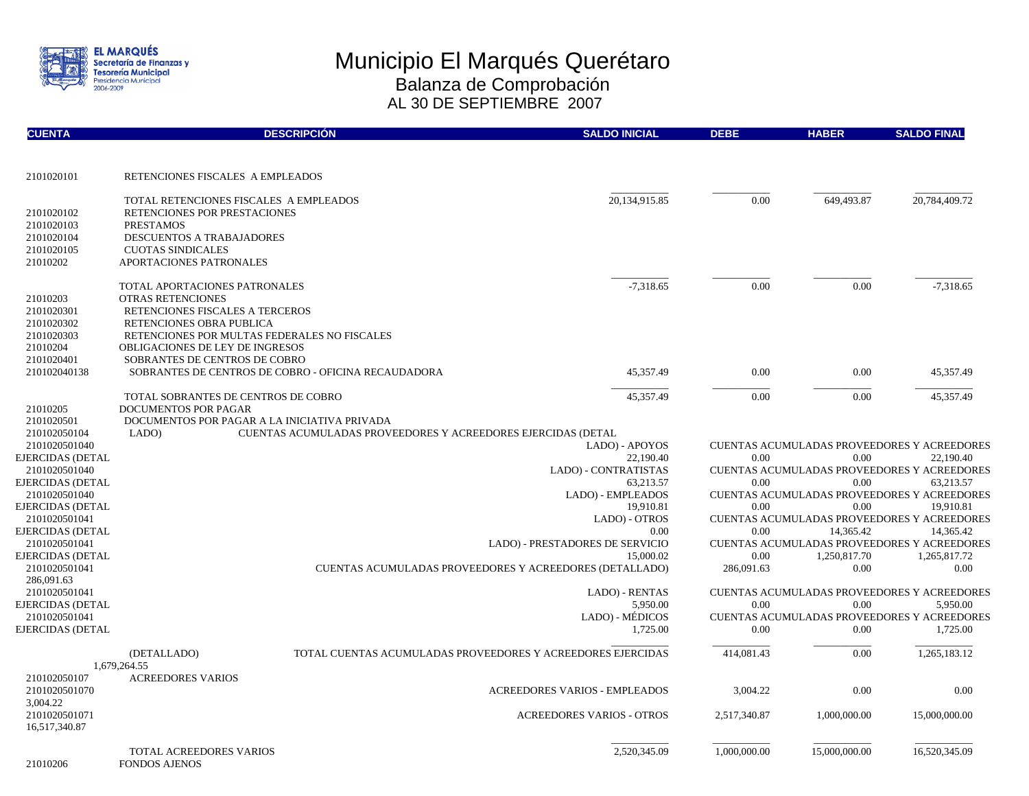

| <b>CUENTA</b>                     |                                                     | <b>DESCRIPCIÓN</b>                                           | <b>SALDO INICIAL</b>                 | <b>DEBE</b>  | <b>HABER</b>  | <b>SALDO FINAL</b>                                       |
|-----------------------------------|-----------------------------------------------------|--------------------------------------------------------------|--------------------------------------|--------------|---------------|----------------------------------------------------------|
|                                   |                                                     |                                                              |                                      |              |               |                                                          |
| 2101020101                        | RETENCIONES FISCALES A EMPLEADOS                    |                                                              |                                      |              |               |                                                          |
|                                   | TOTAL RETENCIONES FISCALES A EMPLEADOS              |                                                              | 20,134,915.85                        | 0.00         | 649,493.87    | 20,784,409.72                                            |
| 2101020102                        | RETENCIONES POR PRESTACIONES                        |                                                              |                                      |              |               |                                                          |
| 2101020103                        | <b>PRESTAMOS</b>                                    |                                                              |                                      |              |               |                                                          |
| 2101020104                        | DESCUENTOS A TRABAJADORES                           |                                                              |                                      |              |               |                                                          |
| 2101020105<br>21010202            | <b>CUOTAS SINDICALES</b><br>APORTACIONES PATRONALES |                                                              |                                      |              |               |                                                          |
|                                   |                                                     |                                                              |                                      |              |               |                                                          |
|                                   | TOTAL APORTACIONES PATRONALES                       |                                                              | $-7,318.65$                          | 0.00         | 0.00          | $-7,318.65$                                              |
| 21010203                          | <b>OTRAS RETENCIONES</b>                            |                                                              |                                      |              |               |                                                          |
| 2101020301                        | RETENCIONES FISCALES A TERCEROS                     |                                                              |                                      |              |               |                                                          |
| 2101020302                        | RETENCIONES OBRA PUBLICA                            |                                                              |                                      |              |               |                                                          |
| 2101020303                        | RETENCIONES POR MULTAS FEDERALES NO FISCALES        |                                                              |                                      |              |               |                                                          |
| 21010204                          | OBLIGACIONES DE LEY DE INGRESOS                     |                                                              |                                      |              |               |                                                          |
| 2101020401                        | SOBRANTES DE CENTROS DE COBRO                       |                                                              |                                      |              |               |                                                          |
| 210102040138                      |                                                     | SOBRANTES DE CENTROS DE COBRO - OFICINA RECAUDADORA          | 45.357.49                            | 0.00         | 0.00          | 45,357.49                                                |
|                                   | TOTAL SOBRANTES DE CENTROS DE COBRO                 |                                                              | 45,357.49                            | 0.00         | 0.00          | 45,357.49                                                |
| 21010205                          | <b>DOCUMENTOS POR PAGAR</b>                         |                                                              |                                      |              |               |                                                          |
| 2101020501                        | DOCUMENTOS POR PAGAR A LA INICIATIVA PRIVADA        |                                                              |                                      |              |               |                                                          |
| 210102050104                      | LADO)                                               | CUENTAS ACUMULADAS PROVEEDORES Y ACREEDORES EJERCIDAS (DETAL |                                      |              |               |                                                          |
| 2101020501040<br>EJERCIDAS (DETAL |                                                     |                                                              | LADO) - APOYOS<br>22,190.40          | 0.00         | 0.00          | CUENTAS ACUMULADAS PROVEEDORES Y ACREEDORES<br>22.190.40 |
| 2101020501040                     |                                                     |                                                              | LADO) - CONTRATISTAS                 |              |               | CUENTAS ACUMULADAS PROVEEDORES Y ACREEDORES              |
| EJERCIDAS (DETAL                  |                                                     |                                                              | 63,213.57                            | 0.00         | 0.00          | 63,213.57                                                |
| 2101020501040                     |                                                     |                                                              | LADO) - EMPLEADOS                    |              |               | CUENTAS ACUMULADAS PROVEEDORES Y ACREEDORES              |
| EJERCIDAS (DETAL                  |                                                     |                                                              | 19,910.81                            | 0.00         | 0.00          | 19,910.81                                                |
| 2101020501041                     |                                                     |                                                              | LADO) - OTROS                        |              |               | CUENTAS ACUMULADAS PROVEEDORES Y ACREEDORES              |
| EJERCIDAS (DETAL                  |                                                     |                                                              | 0.00                                 | 0.00         | 14,365.42     | 14,365.42                                                |
| 2101020501041                     |                                                     |                                                              | LADO) - PRESTADORES DE SERVICIO      |              |               | <b>CUENTAS ACUMULADAS PROVEEDORES Y ACREEDORES</b>       |
| EJERCIDAS (DETAL                  |                                                     |                                                              | 15,000.02                            | 0.00         | 1,250,817.70  | 1,265,817.72                                             |
| 2101020501041<br>286,091.63       |                                                     | CUENTAS ACUMULADAS PROVEEDORES Y ACREEDORES (DETALLADO)      |                                      | 286,091.63   | 0.00          | 0.00                                                     |
| 2101020501041                     |                                                     |                                                              | LADO) - RENTAS                       |              |               | CUENTAS ACUMULADAS PROVEEDORES Y ACREEDORES              |
| EJERCIDAS (DETAL                  |                                                     |                                                              | 5,950.00                             | 0.00         | 0.00          | 5,950.00                                                 |
| 2101020501041                     |                                                     |                                                              | LADO) - MÉDICOS                      |              |               | CUENTAS ACUMULADAS PROVEEDORES Y ACREEDORES              |
| EJERCIDAS (DETAL                  |                                                     |                                                              | 1.725.00                             | 0.00         | 0.00          | 1,725.00                                                 |
|                                   | (DETALLADO)                                         | TOTAL CUENTAS ACUMULADAS PROVEEDORES Y ACREEDORES EJERCIDAS  |                                      | 414,081.43   | 0.00          | 1,265,183.12                                             |
|                                   | 1.679.264.55                                        |                                                              |                                      |              |               |                                                          |
| 210102050107                      | <b>ACREEDORES VARIOS</b>                            |                                                              |                                      |              |               |                                                          |
| 2101020501070                     |                                                     |                                                              | <b>ACREEDORES VARIOS - EMPLEADOS</b> | 3.004.22     | 0.00          | 0.00                                                     |
| 3.004.22                          |                                                     |                                                              |                                      |              |               |                                                          |
| 2101020501071                     |                                                     |                                                              | <b>ACREEDORES VARIOS - OTROS</b>     | 2,517,340.87 | 1,000,000.00  | 15,000,000.00                                            |
| 16,517,340.87                     |                                                     |                                                              |                                      |              |               |                                                          |
|                                   | TOTAL ACREEDORES VARIOS                             |                                                              | 2,520,345.09                         | 1,000,000.00 | 15,000,000.00 | 16,520,345.09                                            |
| 21010206                          | <b>FONDOS AJENOS</b>                                |                                                              |                                      |              |               |                                                          |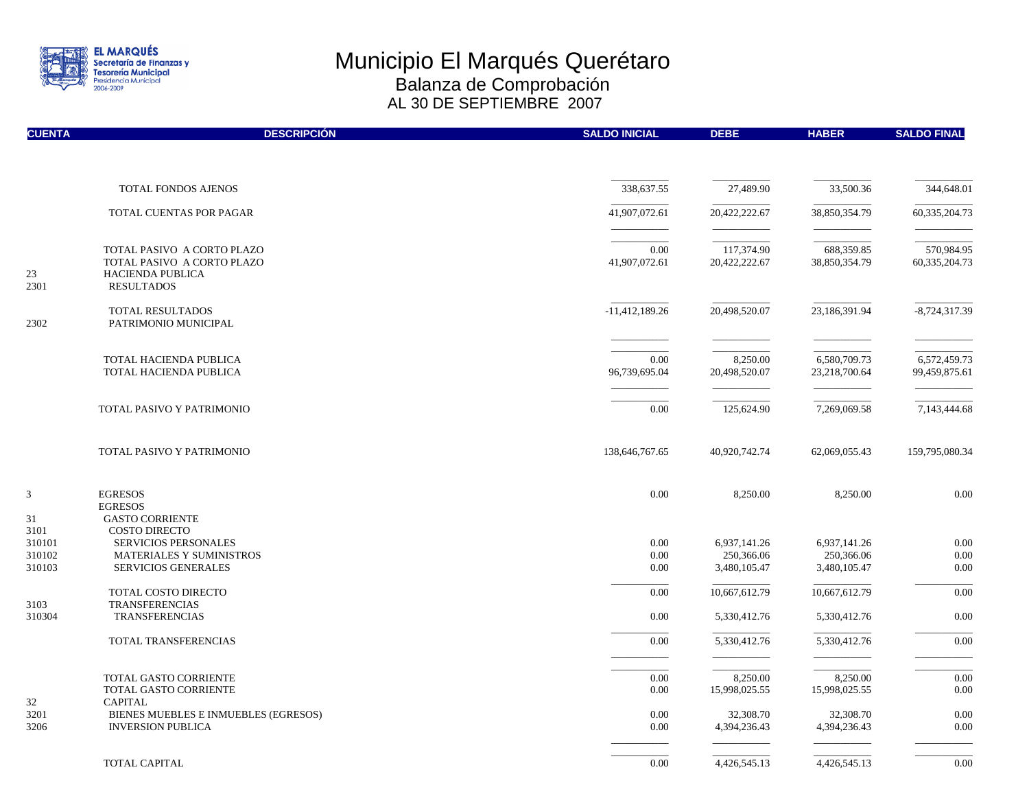

| <b>CUENTA</b>  | <b>DESCRIPCIÓN</b>                                       | <b>SALDO INICIAL</b>  | <b>DEBE</b>               | <b>HABER</b>                  | <b>SALDO FINAL</b>            |
|----------------|----------------------------------------------------------|-----------------------|---------------------------|-------------------------------|-------------------------------|
|                |                                                          |                       |                           |                               |                               |
|                | TOTAL FONDOS AJENOS                                      | 338,637.55            | 27,489.90                 | 33,500.36                     | 344,648.01                    |
|                | TOTAL CUENTAS POR PAGAR                                  | 41,907,072.61         | 20,422,222.67             | 38,850,354.79                 | 60, 335, 204. 73              |
|                |                                                          |                       |                           |                               |                               |
|                | TOTAL PASIVO A CORTO PLAZO<br>TOTAL PASIVO A CORTO PLAZO | 0.00                  | 117,374.90                | 688,359.85                    | 570,984.95                    |
| 23<br>2301     | <b>HACIENDA PUBLICA</b><br><b>RESULTADOS</b>             | 41,907,072.61         | 20,422,222.67             | 38,850,354.79                 | 60,335,204.73                 |
|                | TOTAL RESULTADOS                                         | $-11,412,189.26$      | 20,498,520.07             | 23,186,391.94                 | $-8,724,317.39$               |
| 2302           | PATRIMONIO MUNICIPAL                                     |                       |                           |                               |                               |
|                |                                                          |                       |                           |                               |                               |
|                | TOTAL HACIENDA PUBLICA<br>TOTAL HACIENDA PUBLICA         | 0.00<br>96,739,695.04 | 8,250.00<br>20,498,520.07 | 6,580,709.73<br>23,218,700.64 | 6,572,459.73<br>99,459,875.61 |
|                |                                                          |                       |                           |                               |                               |
|                | TOTAL PASIVO Y PATRIMONIO                                | 0.00                  | 125,624.90                | 7,269,069.58                  | 7,143,444.68                  |
|                | TOTAL PASIVO Y PATRIMONIO                                | 138, 646, 767. 65     | 40,920,742.74             | 62,069,055.43                 | 159,795,080.34                |
| 3              | <b>EGRESOS</b>                                           | 0.00                  | 8,250.00                  | 8,250.00                      | 0.00                          |
| 31             | <b>EGRESOS</b><br><b>GASTO CORRIENTE</b>                 |                       |                           |                               |                               |
| 3101<br>310101 | <b>COSTO DIRECTO</b><br>SERVICIOS PERSONALES             | 0.00                  | 6,937,141.26              | 6,937,141.26                  | 0.00                          |
| 310102         | MATERIALES Y SUMINISTROS                                 | 0.00                  | 250,366.06                | 250,366.06                    | 0.00                          |
| 310103         | SERVICIOS GENERALES                                      | 0.00                  | 3,480,105.47              | 3,480,105.47                  | 0.00                          |
| 3103           | TOTAL COSTO DIRECTO<br><b>TRANSFERENCIAS</b>             | 0.00                  | 10,667,612.79             | 10,667,612.79                 | 0.00                          |
| 310304         | <b>TRANSFERENCIAS</b>                                    | 0.00                  | 5,330,412.76              | 5,330,412.76                  | 0.00                          |
|                | TOTAL TRANSFERENCIAS                                     | 0.00                  | 5,330,412.76              | 5,330,412.76                  | 0.00                          |
|                | TOTAL GASTO CORRIENTE                                    | 0.00                  | 8,250.00                  | 8,250.00                      | 0.00                          |
|                | TOTAL GASTO CORRIENTE                                    | 0.00                  | 15,998,025.55             | 15,998,025.55                 | 0.00                          |
| 32<br>3201     | <b>CAPITAL</b><br>BIENES MUEBLES E INMUEBLES (EGRESOS)   | 0.00                  | 32,308.70                 | 32,308.70                     | 0.00                          |
| 3206           | <b>INVERSION PUBLICA</b>                                 | 0.00                  | 4,394,236.43              | 4,394,236.43                  | 0.00                          |
|                | TOTAL CAPITAL                                            | 0.00                  | 4,426,545.13              | 4,426,545.13                  | 0.00                          |